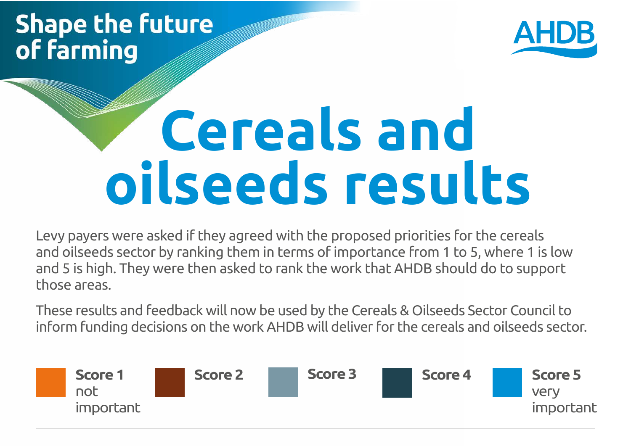## **Shape the future** of farming



# **Cereals and oilseeds results**

Levy payers were asked if they agreed with the proposed priorities for the cereals and oilseeds sector by ranking them in terms of importance from 1 to 5, where 1 is low and 5 is high. They were then asked to rank the work that AHDB should do to support those areas.

These results and feedback will now be used by the Cereals & Oilseeds Sector Council to inform funding decisions on the work AHDB will deliver for the cereals and oilseeds sector.

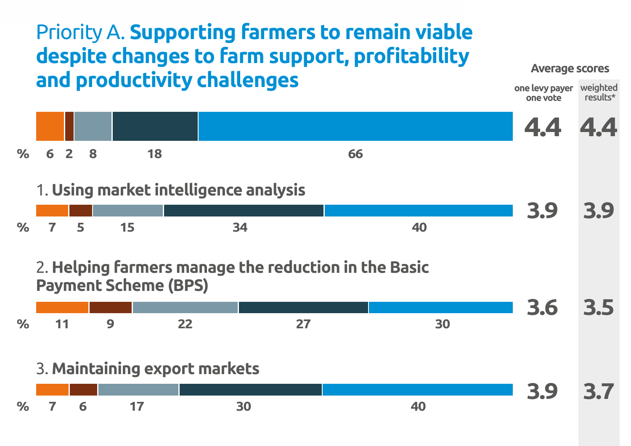## Priority A. **Supporting farmers to remain viable despite changes to farm support, profitability and productivity challenges**



weighted

**Average scores**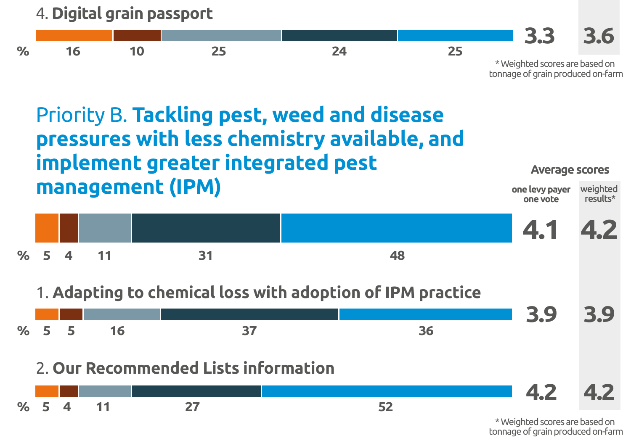

tonnage of grain produced on-farm

#### Priority B. **Tackling pest, weed and disease pressures with less chemistry available, and implement greater integrated pest management (IPM) one levy payer one vote** weighted results\* **Average scores**



#### 1. **Adapting to chemical loss with adoption of IPM practice**



#### 2. **Our Recommended Lists information**



\* Weighted scores are based on tonnage of grain produced on-farm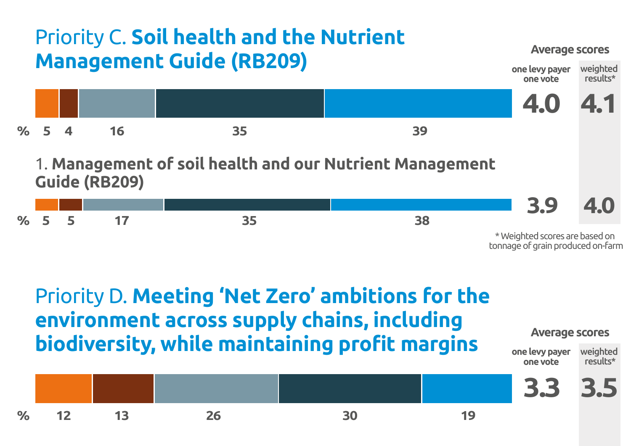

**biodiversity, while maintaining profit margins**

**% 12 13 26 30 19 3.3 3.5**

**one levy payer one vote**

weighted results\*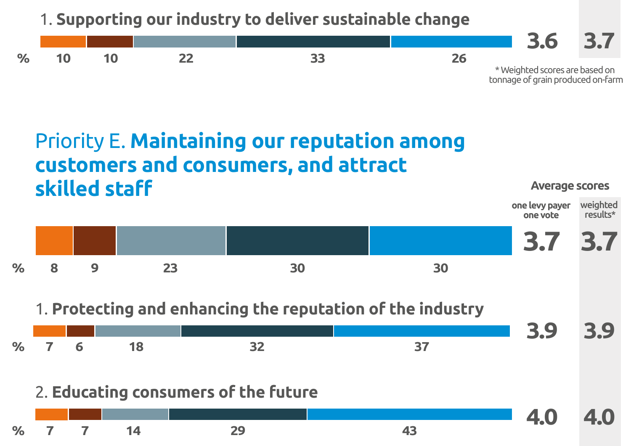1. **Supporting our industry to deliver sustainable change**



## Priority E. **Maintaining our reputation among customers and consumers, and attract skilled staff**



**one levy payer**

**Average scores**

**4.0 4.0**

weighted

1. **Protecting and enhancing the reputation of the industry**



#### 2. **Educating consumers of the future**

**% 7 7 14 29 43**